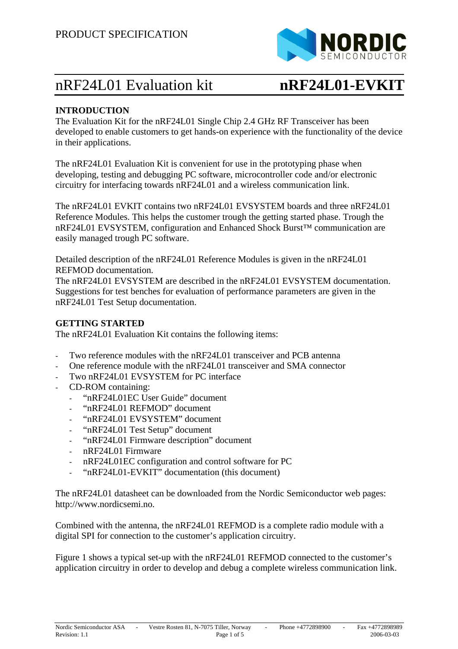

# nRF24L01 Evaluation kit **nRF24L01-EVKIT**

### **INTRODUCTION**

The Evaluation Kit for the nRF24L01 Single Chip 2.4 GHz RF Transceiver has been developed to enable customers to get hands-on experience with the functionality of the device in their applications.

The nRF24L01 Evaluation Kit is convenient for use in the prototyping phase when developing, testing and debugging PC software, microcontroller code and/or electronic circuitry for interfacing towards nRF24L01 and a wireless communication link.

The nRF24L01 EVKIT contains two nRF24L01 EVSYSTEM boards and three nRF24L01 Reference Modules. This helps the customer trough the getting started phase. Trough the nRF24L01 EVSYSTEM, configuration and Enhanced Shock Burst™ communication are easily managed trough PC software.

Detailed description of the nRF24L01 Reference Modules is given in the nRF24L01 REFMOD documentation.

The nRF24L01 EVSYSTEM are described in the nRF24L01 EVSYSTEM documentation. Suggestions for test benches for evaluation of performance parameters are given in the nRF24L01 Test Setup documentation.

#### **GETTING STARTED**

The nRF24L01 Evaluation Kit contains the following items:

- Two reference modules with the nRF24L01 transceiver and PCB antenna
- One reference module with the nRF24L01 transceiver and SMA connector
- Two nRF24L01 EVSYSTEM for PC interface
- CD-ROM containing:
	- "nRF24L01EC User Guide" document
	- "nRF24L01 REFMOD" document
	- "nRF24L01 EVSYSTEM" document
	- "nRF24L01 Test Setup" document
	- "nRF24L01 Firmware description" document
	- nRF24L01 Firmware
	- nRF24L01EC configuration and control software for PC
	- "nRF24L01-EVKIT" documentation (this document)

The nRF24L01 datasheet can be downloaded from the Nordic Semiconductor web pages: http://www.nordicsemi.no.

Combined with the antenna, the nRF24L01 REFMOD is a complete radio module with a digital SPI for connection to the customer's application circuitry.

Figure 1 shows a typical set-up with the nRF24L01 REFMOD connected to the customer's application circuitry in order to develop and debug a complete wireless communication link.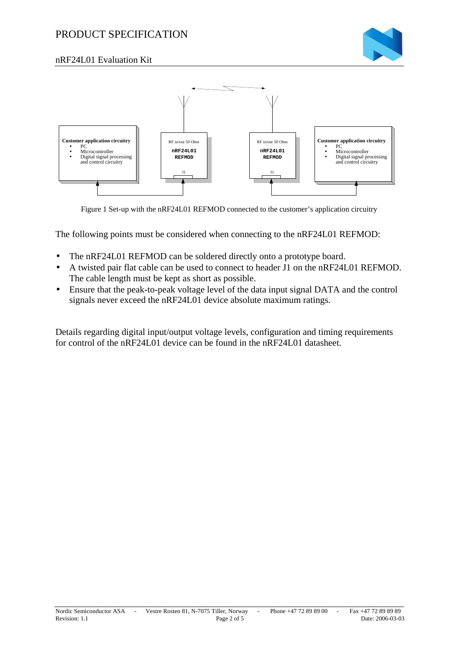## PRODUCT SPECIFICATION



#### nRF24L01 Evaluation Kit



Figure 1 Set-up with the nRF24L01 REFMOD connected to the customer's application circuitry

The following points must be considered when connecting to the nRF24L01 REFMOD:

- The nRF24L01 REFMOD can be soldered directly onto a prototype board.
- A twisted pair flat cable can be used to connect to header J1 on the nRF24L01 REFMOD. The cable length must be kept as short as possible.
- Ensure that the peak-to-peak voltage level of the data input signal DATA and the control signals never exceed the nRF24L01 device absolute maximum ratings.

Details regarding digital input/output voltage levels, configuration and timing requirements for control of the nRF24L01 device can be found in the nRF24L01 datasheet.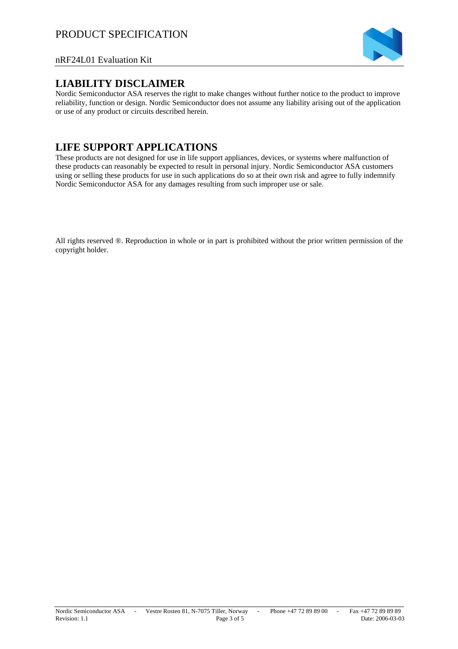

#### nRF24L01 Evaluation Kit

#### **LIABILITY DISCLAIMER**

Nordic Semiconductor ASA reserves the right to make changes without further notice to the product to improve reliability, function or design. Nordic Semiconductor does not assume any liability arising out of the application or use of any product or circuits described herein.

# **LIFE SUPPORT APPLICATIONS**

These products are not designed for use in life support appliances, devices, or systems where malfunction of these products can reasonably be expected to result in personal injury. Nordic Semiconductor ASA customers using or selling these products for use in such applications do so at their own risk and agree to fully indemnify Nordic Semiconductor ASA for any damages resulting from such improper use or sale.

All rights reserved ®. Reproduction in whole or in part is prohibited without the prior written permission of the copyright holder.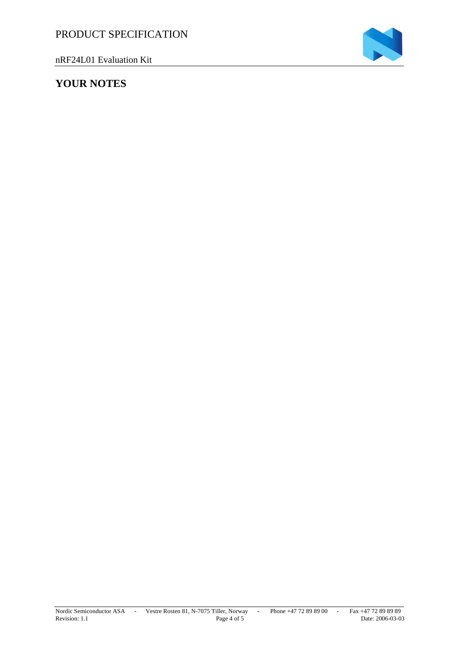nRF24L01 Evaluation Kit

# **YOUR NOTES**